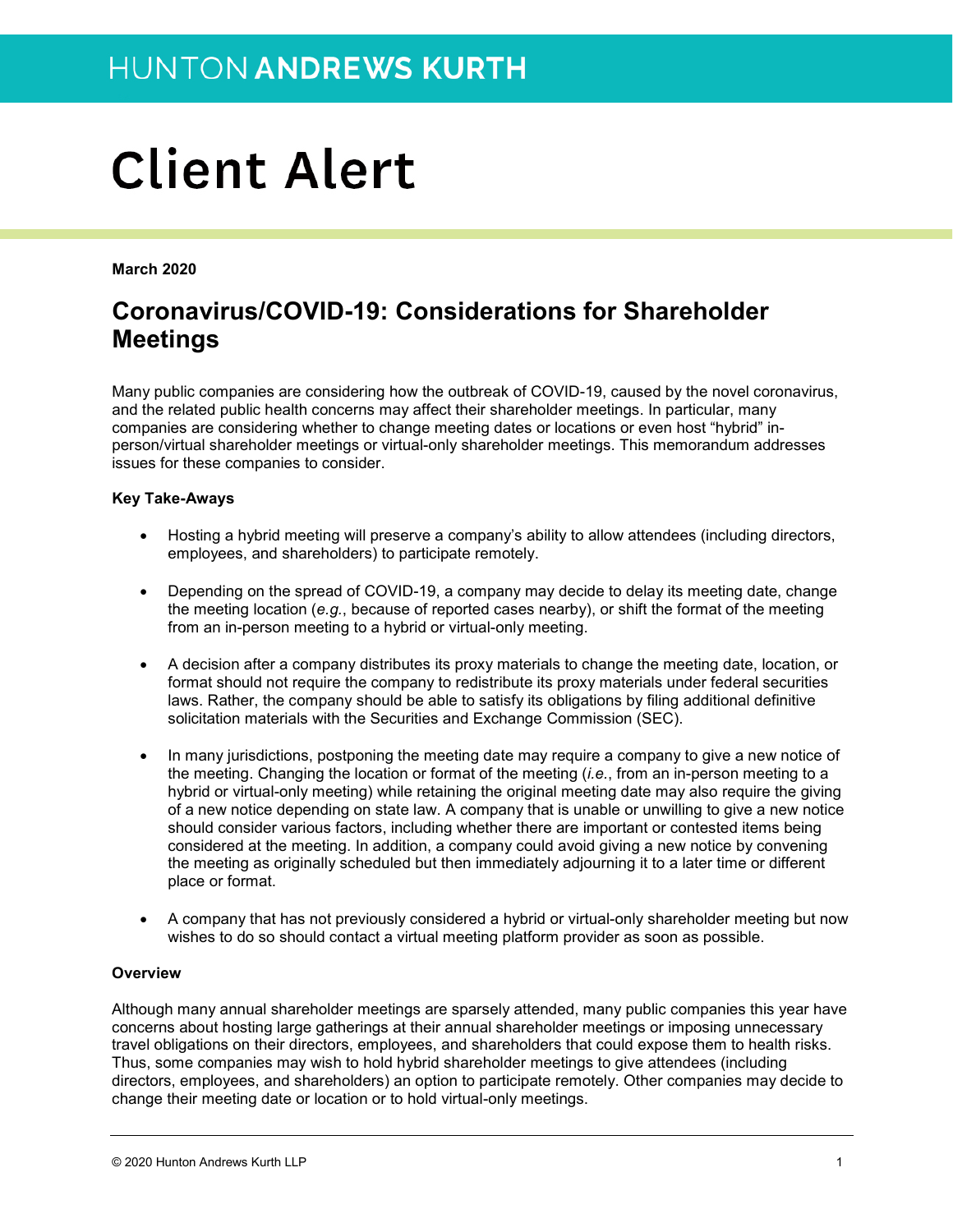# **Client Alert**

**March 2020**

## **Coronavirus/COVID-19: Considerations for Shareholder Meetings**

Many public companies are considering how the outbreak of COVID-19, caused by the novel coronavirus, and the related public health concerns may affect their shareholder meetings. In particular, many companies are considering whether to change meeting dates or locations or even host "hybrid" inperson/virtual shareholder meetings or virtual-only shareholder meetings. This memorandum addresses issues for these companies to consider.

#### **Key Take-Aways**

- Hosting a hybrid meeting will preserve a company's ability to allow attendees (including directors, employees, and shareholders) to participate remotely.
- Depending on the spread of COVID-19, a company may decide to delay its meeting date, change the meeting location (*e.g.*, because of reported cases nearby), or shift the format of the meeting from an in-person meeting to a hybrid or virtual-only meeting.
- A decision after a company distributes its proxy materials to change the meeting date, location, or format should not require the company to redistribute its proxy materials under federal securities laws. Rather, the company should be able to satisfy its obligations by filing additional definitive solicitation materials with the Securities and Exchange Commission (SEC).
- In many jurisdictions, postponing the meeting date may require a company to give a new notice of the meeting. Changing the location or format of the meeting (*i.e.*, from an in-person meeting to a hybrid or virtual-only meeting) while retaining the original meeting date may also require the giving of a new notice depending on state law. A company that is unable or unwilling to give a new notice should consider various factors, including whether there are important or contested items being considered at the meeting. In addition, a company could avoid giving a new notice by convening the meeting as originally scheduled but then immediately adjourning it to a later time or different place or format.
- A company that has not previously considered a hybrid or virtual-only shareholder meeting but now wishes to do so should contact a virtual meeting platform provider as soon as possible.

#### **Overview**

Although many annual shareholder meetings are sparsely attended, many public companies this year have concerns about hosting large gatherings at their annual shareholder meetings or imposing unnecessary travel obligations on their directors, employees, and shareholders that could expose them to health risks. Thus, some companies may wish to hold hybrid shareholder meetings to give attendees (including directors, employees, and shareholders) an option to participate remotely. Other companies may decide to change their meeting date or location or to hold virtual-only meetings.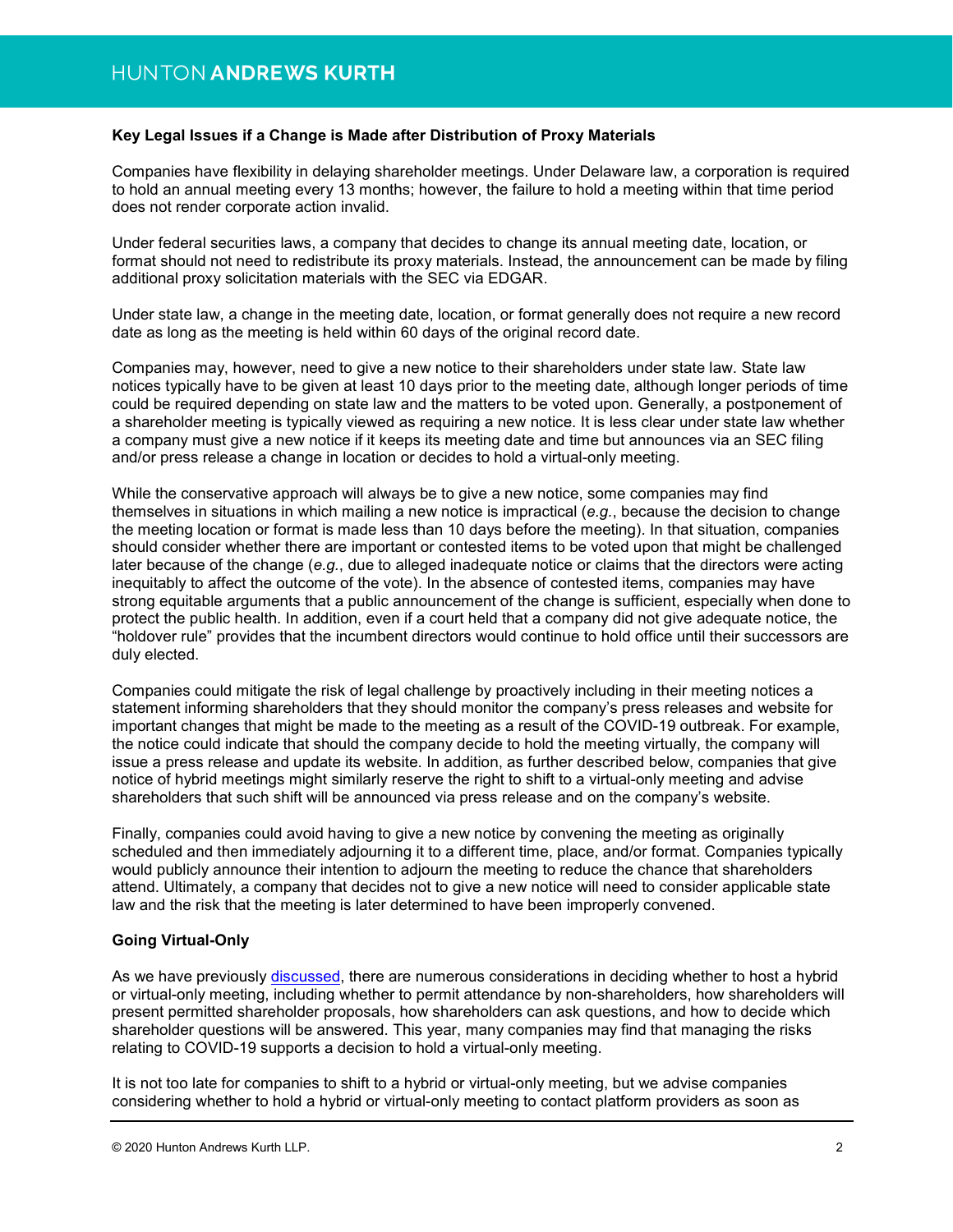#### **Key Legal Issues if a Change is Made after Distribution of Proxy Materials**

Companies have flexibility in delaying shareholder meetings. Under Delaware law, a corporation is required to hold an annual meeting every 13 months; however, the failure to hold a meeting within that time period does not render corporate action invalid.

Under federal securities laws, a company that decides to change its annual meeting date, location, or format should not need to redistribute its proxy materials. Instead, the announcement can be made by filing additional proxy solicitation materials with the SEC via EDGAR.

Under state law, a change in the meeting date, location, or format generally does not require a new record date as long as the meeting is held within 60 days of the original record date.

Companies may, however, need to give a new notice to their shareholders under state law. State law notices typically have to be given at least 10 days prior to the meeting date, although longer periods of time could be required depending on state law and the matters to be voted upon. Generally, a postponement of a shareholder meeting is typically viewed as requiring a new notice. It is less clear under state law whether a company must give a new notice if it keeps its meeting date and time but announces via an SEC filing and/or press release a change in location or decides to hold a virtual-only meeting.

While the conservative approach will always be to give a new notice, some companies may find themselves in situations in which mailing a new notice is impractical (*e.g.*, because the decision to change the meeting location or format is made less than 10 days before the meeting). In that situation, companies should consider whether there are important or contested items to be voted upon that might be challenged later because of the change (*e.g.*, due to alleged inadequate notice or claims that the directors were acting inequitably to affect the outcome of the vote). In the absence of contested items, companies may have strong equitable arguments that a public announcement of the change is sufficient, especially when done to protect the public health. In addition, even if a court held that a company did not give adequate notice, the "holdover rule" provides that the incumbent directors would continue to hold office until their successors are duly elected.

Companies could mitigate the risk of legal challenge by proactively including in their meeting notices a statement informing shareholders that they should monitor the company's press releases and website for important changes that might be made to the meeting as a result of the COVID-19 outbreak. For example, the notice could indicate that should the company decide to hold the meeting virtually, the company will issue a press release and update its website. In addition, as further described below, companies that give notice of hybrid meetings might similarly reserve the right to shift to a virtual-only meeting and advise shareholders that such shift will be announced via press release and on the company's website.

Finally, companies could avoid having to give a new notice by convening the meeting as originally scheduled and then immediately adjourning it to a different time, place, and/or format. Companies typically would publicly announce their intention to adjourn the meeting to reduce the chance that shareholders attend. Ultimately, a company that decides not to give a new notice will need to consider applicable state law and the risk that the meeting is later determined to have been improperly convened.

#### **Going Virtual-Only**

As we have previously [discussed,](https://www.huntonak.com/images/content/3/4/v2/34044/companys-guide-virtual-only-shareholder-meetings.pdf) there are numerous considerations in deciding whether to host a hybrid or virtual-only meeting, including whether to permit attendance by non-shareholders, how shareholders will present permitted shareholder proposals, how shareholders can ask questions, and how to decide which shareholder questions will be answered. This year, many companies may find that managing the risks relating to COVID-19 supports a decision to hold a virtual-only meeting.

It is not too late for companies to shift to a hybrid or virtual-only meeting, but we advise companies considering whether to hold a hybrid or virtual-only meeting to contact platform providers as soon as